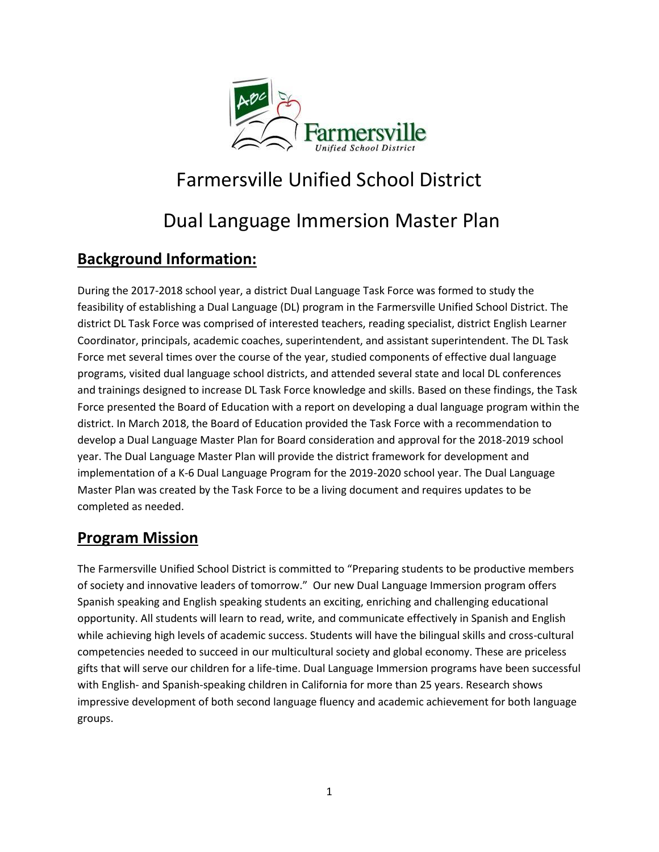

# Farmersville Unified School District

# Dual Language Immersion Master Plan

# **Background Information:**

During the 2017-2018 school year, a district Dual Language Task Force was formed to study the feasibility of establishing a Dual Language (DL) program in the Farmersville Unified School District. The district DL Task Force was comprised of interested teachers, reading specialist, district English Learner Coordinator, principals, academic coaches, superintendent, and assistant superintendent. The DL Task Force met several times over the course of the year, studied components of effective dual language programs, visited dual language school districts, and attended several state and local DL conferences and trainings designed to increase DL Task Force knowledge and skills. Based on these findings, the Task Force presented the Board of Education with a report on developing a dual language program within the district. In March 2018, the Board of Education provided the Task Force with a recommendation to develop a Dual Language Master Plan for Board consideration and approval for the 2018-2019 school year. The Dual Language Master Plan will provide the district framework for development and implementation of a K-6 Dual Language Program for the 2019-2020 school year. The Dual Language Master Plan was created by the Task Force to be a living document and requires updates to be completed as needed.

### **Program Mission**

The Farmersville Unified School District is committed to "Preparing students to be productive members of society and innovative leaders of tomorrow." Our new Dual Language Immersion program offers Spanish speaking and English speaking students an exciting, enriching and challenging educational opportunity. All students will learn to read, write, and communicate effectively in Spanish and English while achieving high levels of academic success. Students will have the bilingual skills and cross-cultural competencies needed to succeed in our multicultural society and global economy. These are priceless gifts that will serve our children for a life-time. Dual Language Immersion programs have been successful with English- and Spanish-speaking children in California for more than 25 years. Research shows impressive development of both second language fluency and academic achievement for both language groups.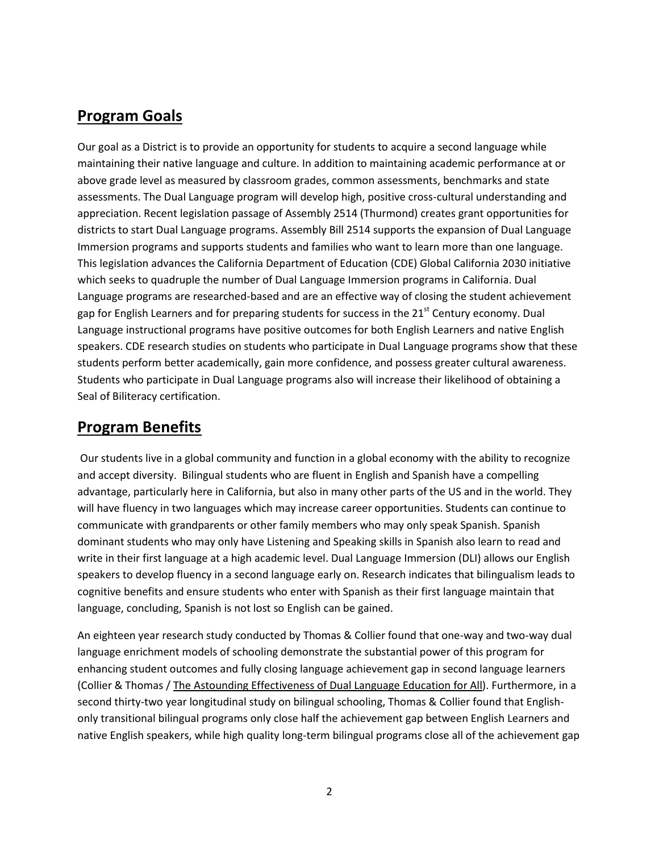### **Program Goals**

Our goal as a District is to provide an opportunity for students to acquire a second language while maintaining their native language and culture. In addition to maintaining academic performance at or above grade level as measured by classroom grades, common assessments, benchmarks and state assessments. The Dual Language program will develop high, positive cross-cultural understanding and appreciation. Recent legislation passage of Assembly 2514 (Thurmond) creates grant opportunities for districts to start Dual Language programs. Assembly Bill 2514 supports the expansion of Dual Language Immersion programs and supports students and families who want to learn more than one language. This legislation advances the California Department of Education (CDE) Global California 2030 initiative which seeks to quadruple the number of Dual Language Immersion programs in California. Dual Language programs are researched-based and are an effective way of closing the student achievement gap for English Learners and for preparing students for success in the 21<sup>st</sup> Century economy. Dual Language instructional programs have positive outcomes for both English Learners and native English speakers. CDE research studies on students who participate in Dual Language programs show that these students perform better academically, gain more confidence, and possess greater cultural awareness. Students who participate in Dual Language programs also will increase their likelihood of obtaining a Seal of Biliteracy certification.

### **Program Benefits**

Our students live in a global community and function in a global economy with the ability to recognize and accept diversity. Bilingual students who are fluent in English and Spanish have a compelling advantage, particularly here in California, but also in many other parts of the US and in the world. They will have fluency in two languages which may increase career opportunities. Students can continue to communicate with grandparents or other family members who may only speak Spanish. Spanish dominant students who may only have Listening and Speaking skills in Spanish also learn to read and write in their first language at a high academic level. Dual Language Immersion (DLI) allows our English speakers to develop fluency in a second language early on. Research indicates that bilingualism leads to cognitive benefits and ensure students who enter with Spanish as their first language maintain that language, concluding, Spanish is not lost so English can be gained.

An eighteen year research study conducted by Thomas & Collier found that one-way and two-way dual language enrichment models of schooling demonstrate the substantial power of this program for enhancing student outcomes and fully closing language achievement gap in second language learners (Collier & Thomas / The Astounding Effectiveness of Dual Language Education for All). Furthermore, in a second thirty-two year longitudinal study on bilingual schooling, Thomas & Collier found that Englishonly transitional bilingual programs only close half the achievement gap between English Learners and native English speakers, while high quality long-term bilingual programs close all of the achievement gap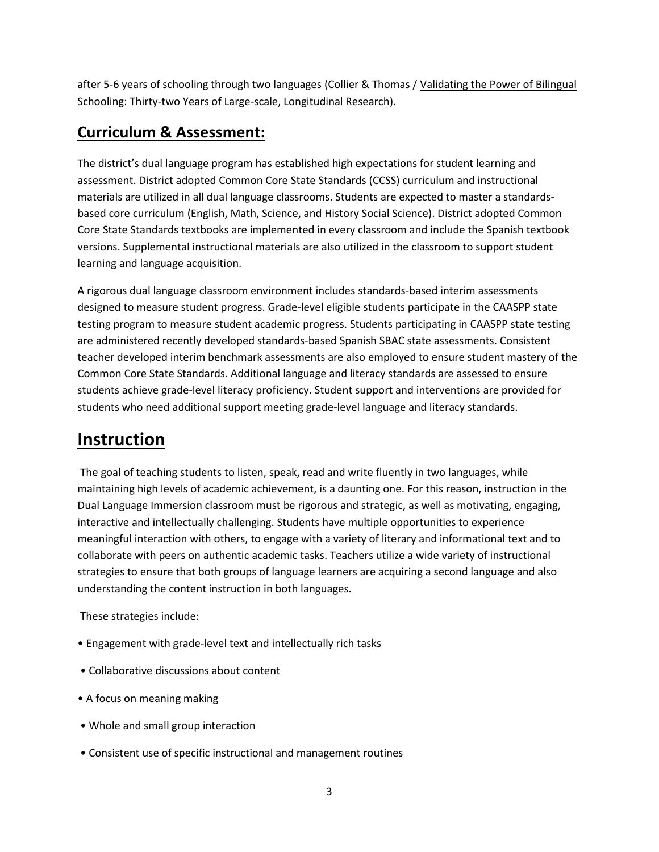after 5-6 years of schooling through two languages (Collier & Thomas / Validating the Power of Bilingual Schooling: Thirty-two Years of Large-scale, Longitudinal Research).

# **Curriculum & Assessment:**

The district's dual language program has established high expectations for student learning and assessment. District adopted Common Core State Standards (CCSS) curriculum and instructional materials are utilized in all dual language classrooms. Students are expected to master a standardsbased core curriculum (English, Math, Science, and History Social Science). District adopted Common Core State Standards textbooks are implemented in every classroom and include the Spanish textbook versions. Supplemental instructional materials are also utilized in the classroom to support student learning and language acquisition.

A rigorous dual language classroom environment includes standards-based interim assessments designed to measure student progress. Grade-level eligible students participate in the CAASPP state testing program to measure student academic progress. Students participating in CAASPP state testing are administered recently developed standards-based Spanish SBAC state assessments. Consistent teacher developed interim benchmark assessments are also employed to ensure student mastery of the Common Core State Standards. Additional language and literacy standards are assessed to ensure students achieve grade-level literacy proficiency. Student support and interventions are provided for students who need additional support meeting grade-level language and literacy standards.

# **Instruction**

The goal of teaching students to listen, speak, read and write fluently in two languages, while maintaining high levels of academic achievement, is a daunting one. For this reason, instruction in the Dual Language Immersion classroom must be rigorous and strategic, as well as motivating, engaging, interactive and intellectually challenging. Students have multiple opportunities to experience meaningful interaction with others, to engage with a variety of literary and informational text and to collaborate with peers on authentic academic tasks. Teachers utilize a wide variety of instructional strategies to ensure that both groups of language learners are acquiring a second language and also understanding the content instruction in both languages.

These strategies include:

- Engagement with grade-level text and intellectually rich tasks
- Collaborative discussions about content
- A focus on meaning making
- Whole and small group interaction
- Consistent use of specific instructional and management routines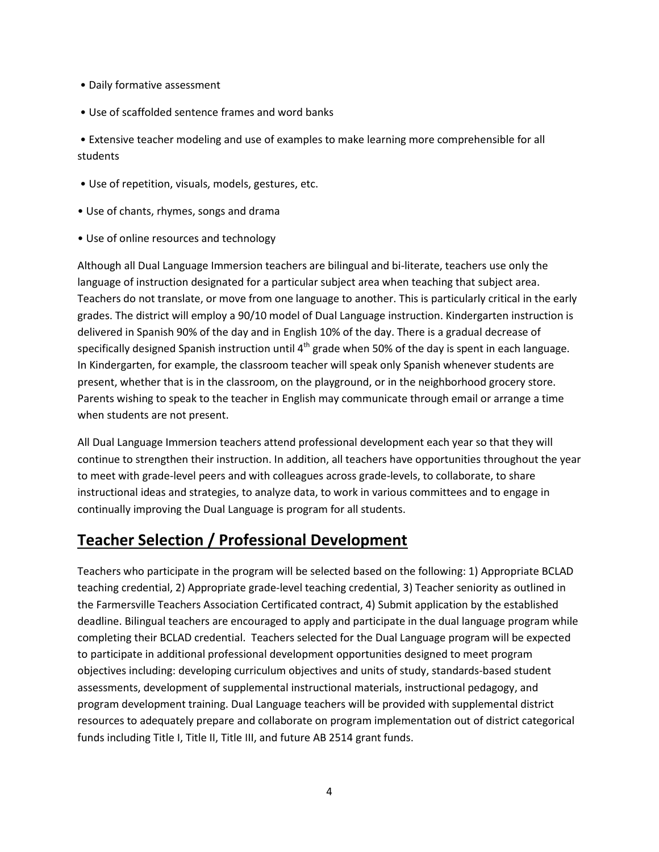- Daily formative assessment
- Use of scaffolded sentence frames and word banks

• Extensive teacher modeling and use of examples to make learning more comprehensible for all students

- Use of repetition, visuals, models, gestures, etc.
- Use of chants, rhymes, songs and drama
- Use of online resources and technology

Although all Dual Language Immersion teachers are bilingual and bi-literate, teachers use only the language of instruction designated for a particular subject area when teaching that subject area. Teachers do not translate, or move from one language to another. This is particularly critical in the early grades. The district will employ a 90/10 model of Dual Language instruction. Kindergarten instruction is delivered in Spanish 90% of the day and in English 10% of the day. There is a gradual decrease of specifically designed Spanish instruction until  $4<sup>th</sup>$  grade when 50% of the day is spent in each language. In Kindergarten, for example, the classroom teacher will speak only Spanish whenever students are present, whether that is in the classroom, on the playground, or in the neighborhood grocery store. Parents wishing to speak to the teacher in English may communicate through email or arrange a time when students are not present.

All Dual Language Immersion teachers attend professional development each year so that they will continue to strengthen their instruction. In addition, all teachers have opportunities throughout the year to meet with grade-level peers and with colleagues across grade-levels, to collaborate, to share instructional ideas and strategies, to analyze data, to work in various committees and to engage in continually improving the Dual Language is program for all students.

### **Teacher Selection / Professional Development**

Teachers who participate in the program will be selected based on the following: 1) Appropriate BCLAD teaching credential, 2) Appropriate grade-level teaching credential, 3) Teacher seniority as outlined in the Farmersville Teachers Association Certificated contract, 4) Submit application by the established deadline. Bilingual teachers are encouraged to apply and participate in the dual language program while completing their BCLAD credential. Teachers selected for the Dual Language program will be expected to participate in additional professional development opportunities designed to meet program objectives including: developing curriculum objectives and units of study, standards-based student assessments, development of supplemental instructional materials, instructional pedagogy, and program development training. Dual Language teachers will be provided with supplemental district resources to adequately prepare and collaborate on program implementation out of district categorical funds including Title I, Title II, Title III, and future AB 2514 grant funds.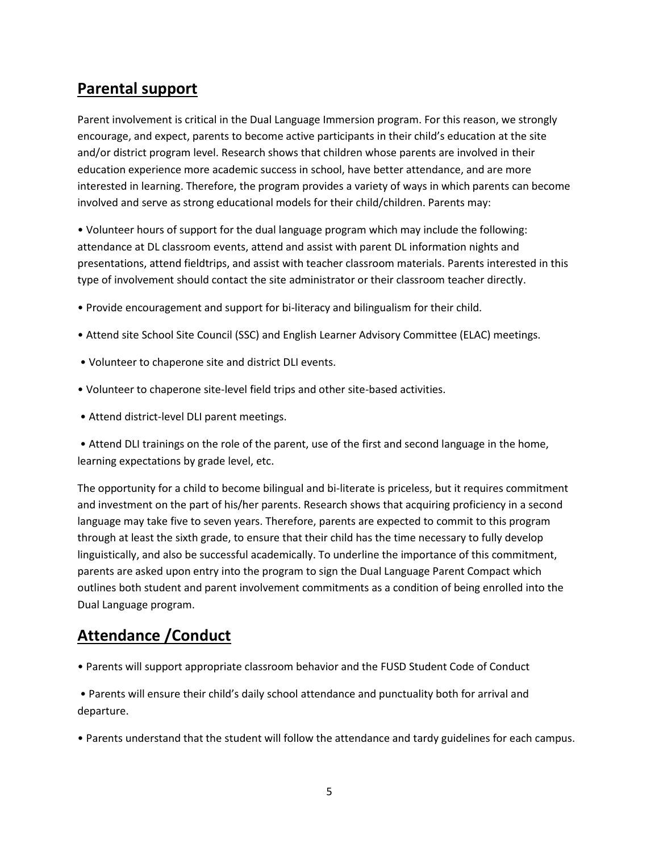### **Parental support**

Parent involvement is critical in the Dual Language Immersion program. For this reason, we strongly encourage, and expect, parents to become active participants in their child's education at the site and/or district program level. Research shows that children whose parents are involved in their education experience more academic success in school, have better attendance, and are more interested in learning. Therefore, the program provides a variety of ways in which parents can become involved and serve as strong educational models for their child/children. Parents may:

• Volunteer hours of support for the dual language program which may include the following: attendance at DL classroom events, attend and assist with parent DL information nights and presentations, attend fieldtrips, and assist with teacher classroom materials. Parents interested in this type of involvement should contact the site administrator or their classroom teacher directly.

- Provide encouragement and support for bi-literacy and bilingualism for their child.
- Attend site School Site Council (SSC) and English Learner Advisory Committee (ELAC) meetings.
- Volunteer to chaperone site and district DLI events.
- Volunteer to chaperone site-level field trips and other site-based activities.
- Attend district-level DLI parent meetings.
- Attend DLI trainings on the role of the parent, use of the first and second language in the home, learning expectations by grade level, etc.

The opportunity for a child to become bilingual and bi-literate is priceless, but it requires commitment and investment on the part of his/her parents. Research shows that acquiring proficiency in a second language may take five to seven years. Therefore, parents are expected to commit to this program through at least the sixth grade, to ensure that their child has the time necessary to fully develop linguistically, and also be successful academically. To underline the importance of this commitment, parents are asked upon entry into the program to sign the Dual Language Parent Compact which outlines both student and parent involvement commitments as a condition of being enrolled into the Dual Language program.

### **Attendance /Conduct**

• Parents will support appropriate classroom behavior and the FUSD Student Code of Conduct

• Parents will ensure their child's daily school attendance and punctuality both for arrival and departure.

• Parents understand that the student will follow the attendance and tardy guidelines for each campus.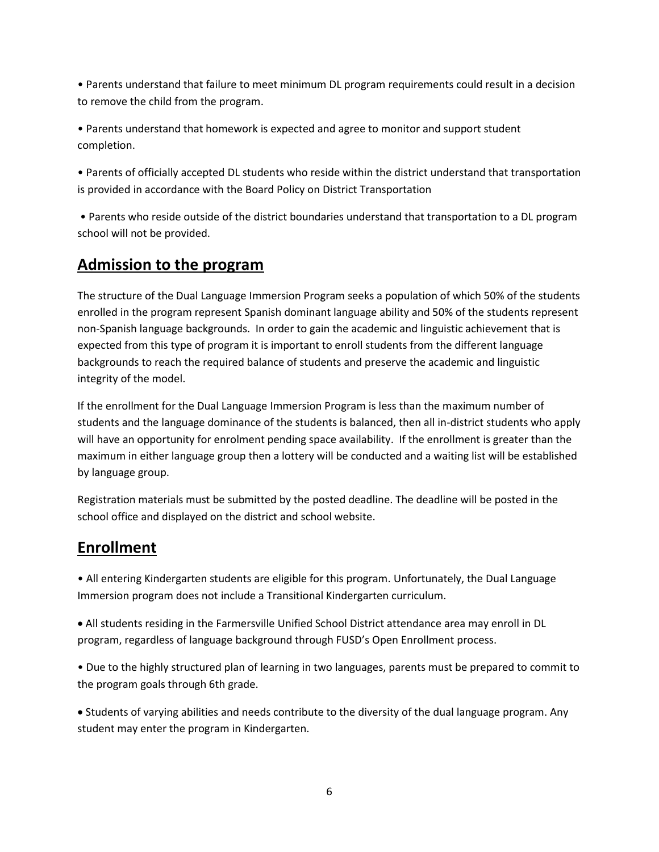• Parents understand that failure to meet minimum DL program requirements could result in a decision to remove the child from the program.

• Parents understand that homework is expected and agree to monitor and support student completion.

• Parents of officially accepted DL students who reside within the district understand that transportation is provided in accordance with the Board Policy on District Transportation

• Parents who reside outside of the district boundaries understand that transportation to a DL program school will not be provided.

# **Admission to the program**

The structure of the Dual Language Immersion Program seeks a population of which 50% of the students enrolled in the program represent Spanish dominant language ability and 50% of the students represent non-Spanish language backgrounds. In order to gain the academic and linguistic achievement that is expected from this type of program it is important to enroll students from the different language backgrounds to reach the required balance of students and preserve the academic and linguistic integrity of the model.

If the enrollment for the Dual Language Immersion Program is less than the maximum number of students and the language dominance of the students is balanced, then all in-district students who apply will have an opportunity for enrolment pending space availability. If the enrollment is greater than the maximum in either language group then a lottery will be conducted and a waiting list will be established by language group.

Registration materials must be submitted by the posted deadline. The deadline will be posted in the school office and displayed on the district and school website.

### **Enrollment**

• All entering Kindergarten students are eligible for this program. Unfortunately, the Dual Language Immersion program does not include a Transitional Kindergarten curriculum.

 All students residing in the Farmersville Unified School District attendance area may enroll in DL program, regardless of language background through FUSD's Open Enrollment process.

• Due to the highly structured plan of learning in two languages, parents must be prepared to commit to the program goals through 6th grade.

 Students of varying abilities and needs contribute to the diversity of the dual language program. Any student may enter the program in Kindergarten.